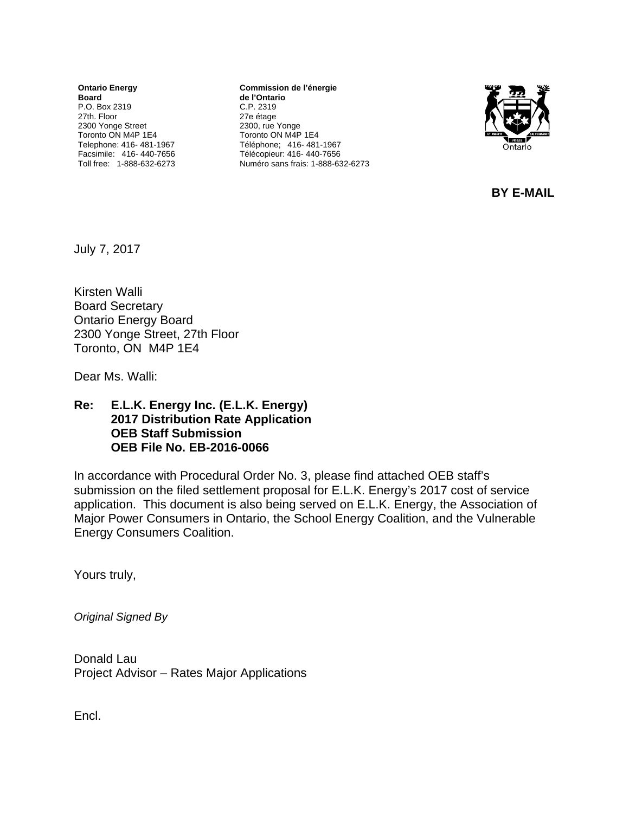**Ontario Energy Board**  P.O. Box 2319 27th. Floor 2300 Yonge Street Toronto ON M4P 1E4 Telephone: 416- 481-1967 Facsimile: 416- 440-7656 Toll free: 1-888-632-6273

**Commission de l'énergie de l'Ontario** C.P. 2319 27e étage 2300, rue Yonge Toronto ON M4P 1E4 Téléphone; 416- 481-1967 Télécopieur: 416- 440-7656 Numéro sans frais: 1-888-632-6273



**BY E-MAIL** 

July 7, 2017

Kirsten Walli Board Secretary Ontario Energy Board 2300 Yonge Street, 27th Floor Toronto, ON M4P 1E4

Dear Ms. Walli:

#### **Re: E.L.K. Energy Inc. (E.L.K. Energy) 2017 Distribution Rate Application OEB Staff Submission OEB File No. EB-2016-0066**

In accordance with Procedural Order No. 3, please find attached OEB staff's submission on the filed settlement proposal for E.L.K. Energy's 2017 cost of service application. This document is also being served on E.L.K. Energy, the Association of Major Power Consumers in Ontario, the School Energy Coalition, and the Vulnerable Energy Consumers Coalition.

Yours truly,

*Original Signed By* 

Donald Lau Project Advisor – Rates Major Applications

Encl.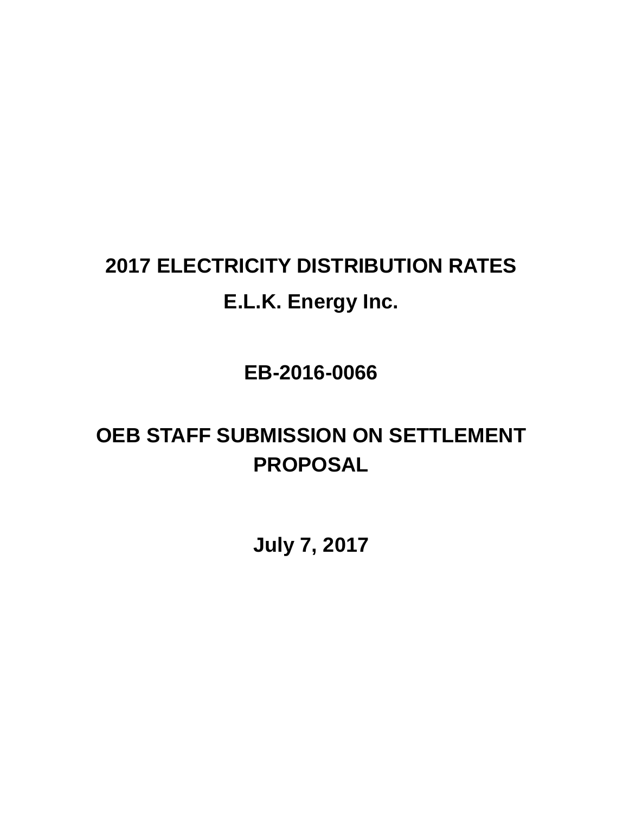# **2017 ELECTRICITY DISTRIBUTION RATES E.L.K. Energy Inc.**

**EB-2016-0066**

# **OEB STAFF SUBMISSION ON SETTLEMENT PROPOSAL**

**July 7, 2017**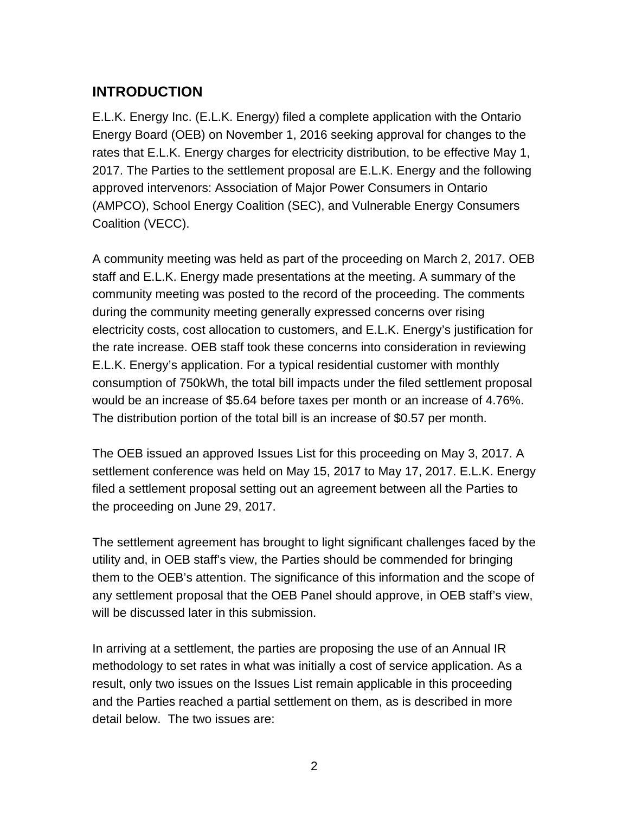## **INTRODUCTION**

E.L.K. Energy Inc. (E.L.K. Energy) filed a complete application with the Ontario Energy Board (OEB) on November 1, 2016 seeking approval for changes to the rates that E.L.K. Energy charges for electricity distribution, to be effective May 1, 2017. The Parties to the settlement proposal are E.L.K. Energy and the following approved intervenors: Association of Major Power Consumers in Ontario (AMPCO), School Energy Coalition (SEC), and Vulnerable Energy Consumers Coalition (VECC).

A community meeting was held as part of the proceeding on March 2, 2017. OEB staff and E.L.K. Energy made presentations at the meeting. A summary of the community meeting was posted to the record of the proceeding. The comments during the community meeting generally expressed concerns over rising electricity costs, cost allocation to customers, and E.L.K. Energy's justification for the rate increase. OEB staff took these concerns into consideration in reviewing E.L.K. Energy's application. For a typical residential customer with monthly consumption of 750kWh, the total bill impacts under the filed settlement proposal would be an increase of \$5.64 before taxes per month or an increase of 4.76%. The distribution portion of the total bill is an increase of \$0.57 per month.

The OEB issued an approved Issues List for this proceeding on May 3, 2017. A settlement conference was held on May 15, 2017 to May 17, 2017. E.L.K. Energy filed a settlement proposal setting out an agreement between all the Parties to the proceeding on June 29, 2017.

The settlement agreement has brought to light significant challenges faced by the utility and, in OEB staff's view, the Parties should be commended for bringing them to the OEB's attention. The significance of this information and the scope of any settlement proposal that the OEB Panel should approve, in OEB staff's view, will be discussed later in this submission.

In arriving at a settlement, the parties are proposing the use of an Annual IR methodology to set rates in what was initially a cost of service application. As a result, only two issues on the Issues List remain applicable in this proceeding and the Parties reached a partial settlement on them, as is described in more detail below. The two issues are: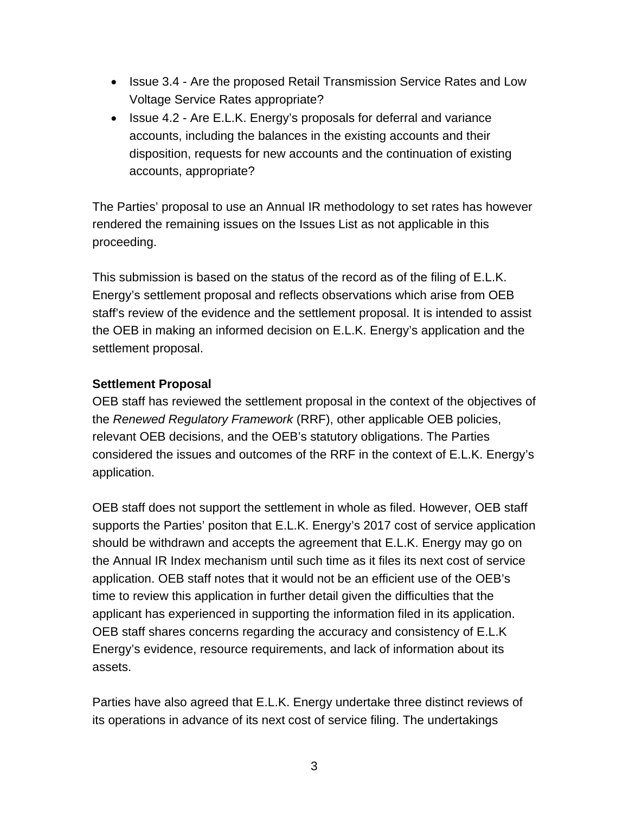- Issue 3.4 Are the proposed Retail Transmission Service Rates and Low Voltage Service Rates appropriate?
- Issue 4.2 Are E.L.K. Energy's proposals for deferral and variance accounts, including the balances in the existing accounts and their disposition, requests for new accounts and the continuation of existing accounts, appropriate?

The Parties' proposal to use an Annual IR methodology to set rates has however rendered the remaining issues on the Issues List as not applicable in this proceeding.

This submission is based on the status of the record as of the filing of E.L.K. Energy's settlement proposal and reflects observations which arise from OEB staff's review of the evidence and the settlement proposal. It is intended to assist the OEB in making an informed decision on E.L.K. Energy's application and the settlement proposal.

#### **Settlement Proposal**

OEB staff has reviewed the settlement proposal in the context of the objectives of the *Renewed Regulatory Framework* (RRF), other applicable OEB policies, relevant OEB decisions, and the OEB's statutory obligations. The Parties considered the issues and outcomes of the RRF in the context of E.L.K. Energy's application.

OEB staff does not support the settlement in whole as filed. However, OEB staff supports the Parties' positon that E.L.K. Energy's 2017 cost of service application should be withdrawn and accepts the agreement that E.L.K. Energy may go on the Annual IR Index mechanism until such time as it files its next cost of service application. OEB staff notes that it would not be an efficient use of the OEB's time to review this application in further detail given the difficulties that the applicant has experienced in supporting the information filed in its application. OEB staff shares concerns regarding the accuracy and consistency of E.L.K Energy's evidence, resource requirements, and lack of information about its assets.

Parties have also agreed that E.L.K. Energy undertake three distinct reviews of its operations in advance of its next cost of service filing. The undertakings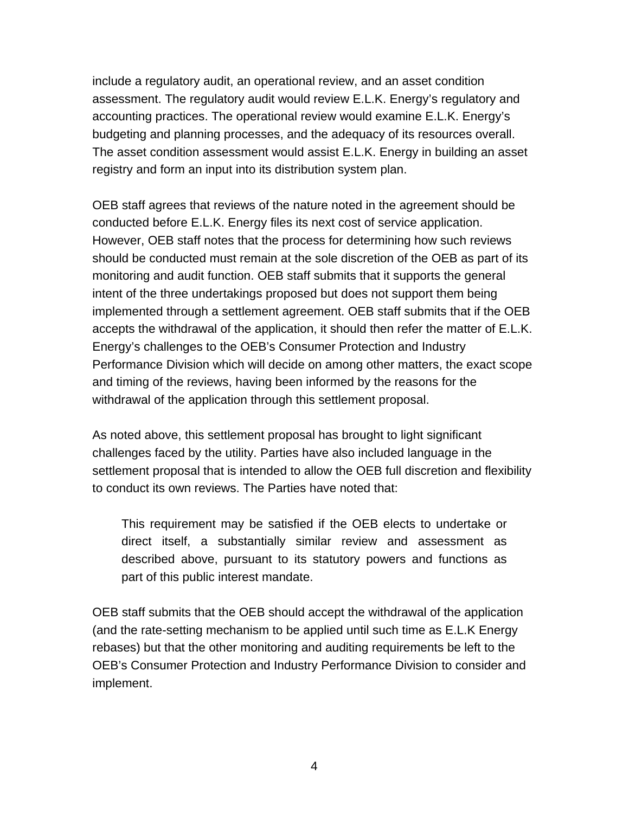include a regulatory audit, an operational review, and an asset condition assessment. The regulatory audit would review E.L.K. Energy's regulatory and accounting practices. The operational review would examine E.L.K. Energy's budgeting and planning processes, and the adequacy of its resources overall. The asset condition assessment would assist E.L.K. Energy in building an asset registry and form an input into its distribution system plan.

OEB staff agrees that reviews of the nature noted in the agreement should be conducted before E.L.K. Energy files its next cost of service application. However, OEB staff notes that the process for determining how such reviews should be conducted must remain at the sole discretion of the OEB as part of its monitoring and audit function. OEB staff submits that it supports the general intent of the three undertakings proposed but does not support them being implemented through a settlement agreement. OEB staff submits that if the OEB accepts the withdrawal of the application, it should then refer the matter of E.L.K. Energy's challenges to the OEB's Consumer Protection and Industry Performance Division which will decide on among other matters, the exact scope and timing of the reviews, having been informed by the reasons for the withdrawal of the application through this settlement proposal.

As noted above, this settlement proposal has brought to light significant challenges faced by the utility. Parties have also included language in the settlement proposal that is intended to allow the OEB full discretion and flexibility to conduct its own reviews. The Parties have noted that:

This requirement may be satisfied if the OEB elects to undertake or direct itself, a substantially similar review and assessment as described above, pursuant to its statutory powers and functions as part of this public interest mandate.

OEB staff submits that the OEB should accept the withdrawal of the application (and the rate-setting mechanism to be applied until such time as E.L.K Energy rebases) but that the other monitoring and auditing requirements be left to the OEB's Consumer Protection and Industry Performance Division to consider and implement.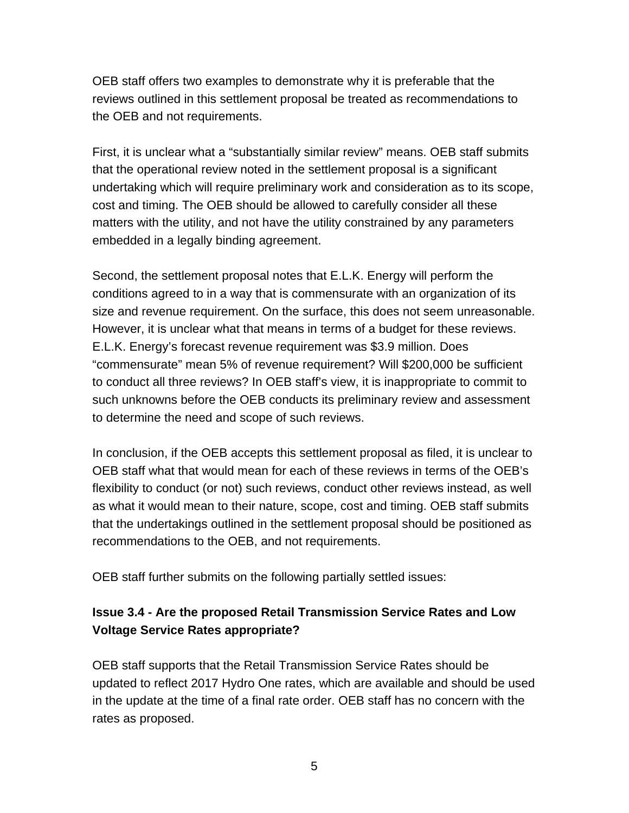OEB staff offers two examples to demonstrate why it is preferable that the reviews outlined in this settlement proposal be treated as recommendations to the OEB and not requirements.

First, it is unclear what a "substantially similar review" means. OEB staff submits that the operational review noted in the settlement proposal is a significant undertaking which will require preliminary work and consideration as to its scope, cost and timing. The OEB should be allowed to carefully consider all these matters with the utility, and not have the utility constrained by any parameters embedded in a legally binding agreement.

Second, the settlement proposal notes that E.L.K. Energy will perform the conditions agreed to in a way that is commensurate with an organization of its size and revenue requirement. On the surface, this does not seem unreasonable. However, it is unclear what that means in terms of a budget for these reviews. E.L.K. Energy's forecast revenue requirement was \$3.9 million. Does "commensurate" mean 5% of revenue requirement? Will \$200,000 be sufficient to conduct all three reviews? In OEB staff's view, it is inappropriate to commit to such unknowns before the OEB conducts its preliminary review and assessment to determine the need and scope of such reviews.

In conclusion, if the OEB accepts this settlement proposal as filed, it is unclear to OEB staff what that would mean for each of these reviews in terms of the OEB's flexibility to conduct (or not) such reviews, conduct other reviews instead, as well as what it would mean to their nature, scope, cost and timing. OEB staff submits that the undertakings outlined in the settlement proposal should be positioned as recommendations to the OEB, and not requirements.

OEB staff further submits on the following partially settled issues:

### **Issue 3.4 - Are the proposed Retail Transmission Service Rates and Low Voltage Service Rates appropriate?**

OEB staff supports that the Retail Transmission Service Rates should be updated to reflect 2017 Hydro One rates, which are available and should be used in the update at the time of a final rate order. OEB staff has no concern with the rates as proposed.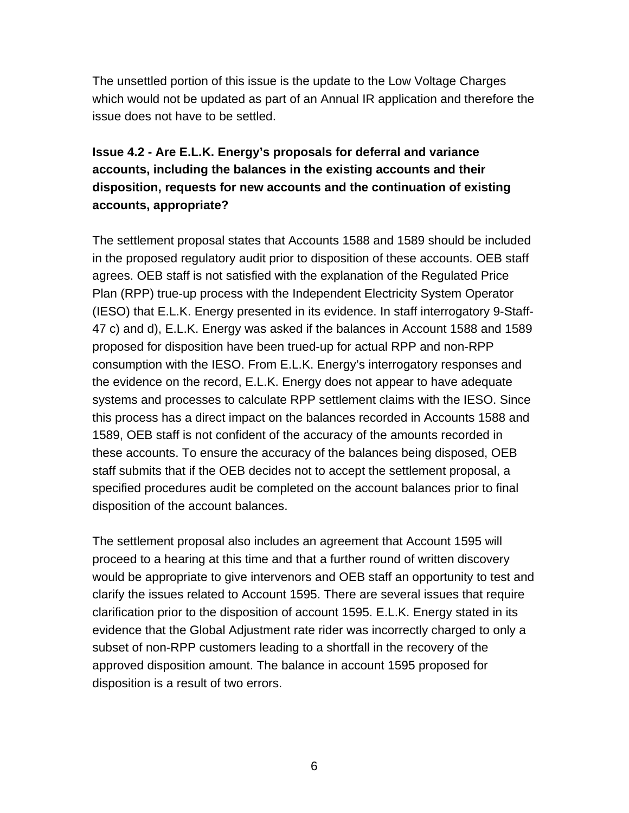The unsettled portion of this issue is the update to the Low Voltage Charges which would not be updated as part of an Annual IR application and therefore the issue does not have to be settled.

### **Issue 4.2 - Are E.L.K. Energy's proposals for deferral and variance accounts, including the balances in the existing accounts and their disposition, requests for new accounts and the continuation of existing accounts, appropriate?**

The settlement proposal states that Accounts 1588 and 1589 should be included in the proposed regulatory audit prior to disposition of these accounts. OEB staff agrees. OEB staff is not satisfied with the explanation of the Regulated Price Plan (RPP) true-up process with the Independent Electricity System Operator (IESO) that E.L.K. Energy presented in its evidence. In staff interrogatory 9-Staff-47 c) and d), E.L.K. Energy was asked if the balances in Account 1588 and 1589 proposed for disposition have been trued-up for actual RPP and non-RPP consumption with the IESO. From E.L.K. Energy's interrogatory responses and the evidence on the record, E.L.K. Energy does not appear to have adequate systems and processes to calculate RPP settlement claims with the IESO. Since this process has a direct impact on the balances recorded in Accounts 1588 and 1589, OEB staff is not confident of the accuracy of the amounts recorded in these accounts. To ensure the accuracy of the balances being disposed, OEB staff submits that if the OEB decides not to accept the settlement proposal, a specified procedures audit be completed on the account balances prior to final disposition of the account balances.

The settlement proposal also includes an agreement that Account 1595 will proceed to a hearing at this time and that a further round of written discovery would be appropriate to give intervenors and OEB staff an opportunity to test and clarify the issues related to Account 1595. There are several issues that require clarification prior to the disposition of account 1595. E.L.K. Energy stated in its evidence that the Global Adjustment rate rider was incorrectly charged to only a subset of non-RPP customers leading to a shortfall in the recovery of the approved disposition amount. The balance in account 1595 proposed for disposition is a result of two errors.